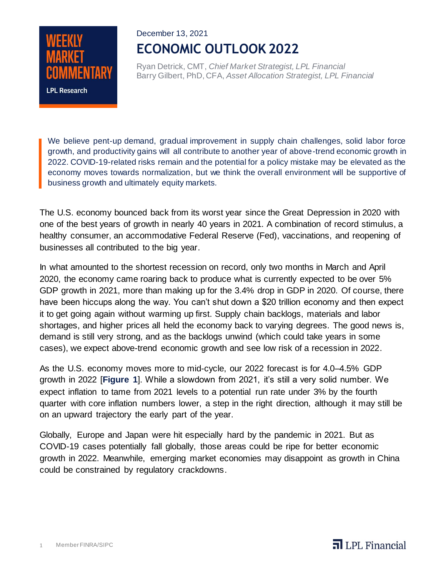# **LPL Research**

# December 13, 2021 **ECONOMIC OUTLOOK 2022**

Ryan Detrick, CMT, *Chief Market Strategist, LPL Financial* Barry Gilbert, PhD, CFA, *Asset Allocation Strategist, LPL Financial*

We believe pent-up demand, gradual improvement in supply chain challenges, solid labor force growth, and productivity gains will all contribute to another year of above-trend economic growth in 2022. COVID-19-related risks remain and the potential for a policy mistake may be elevated as the economy moves towards normalization, but we think the overall environment will be supportive of business growth and ultimately equity markets.

The U.S. economy bounced back from its worst year since the Great Depression in 2020 with one of the best years of growth in nearly 40 years in 2021. A combination of record stimulus, a healthy consumer, an accommodative Federal Reserve (Fed), vaccinations, and reopening of businesses all contributed to the big year.

In what amounted to the shortest recession on record, only two months in March and April 2020, the economy came roaring back to produce what is currently expected to be over 5% GDP growth in 2021, more than making up for the 3.4% drop in GDP in 2020. Of course, there have been hiccups along the way. You can't shut down a \$20 trillion economy and then expect it to get going again without warming up first. Supply chain backlogs, materials and labor shortages, and higher prices all held the economy back to varying degrees. The good news is, demand is still very strong, and as the backlogs unwind (which could take years in some cases), we expect above-trend economic growth and see low risk of a recession in 2022.

As the U.S. economy moves more to mid-cycle, our 2022 forecast is for 4.0–4.5% GDP growth in 2022 [**Figure 1**]. While a slowdown from 2021, it's still a very solid number. We expect inflation to tame from 2021 levels to a potential run rate under 3% by the fourth quarter with core inflation numbers lower, a step in the right direction, although it may still be on an upward trajectory the early part of the year.

Globally, Europe and Japan were hit especially hard by the pandemic in 2021. But as COVID-19 cases potentially fall globally, those areas could be ripe for better economic growth in 2022. Meanwhile, emerging market economies may disappoint as growth in China could be constrained by regulatory crackdowns.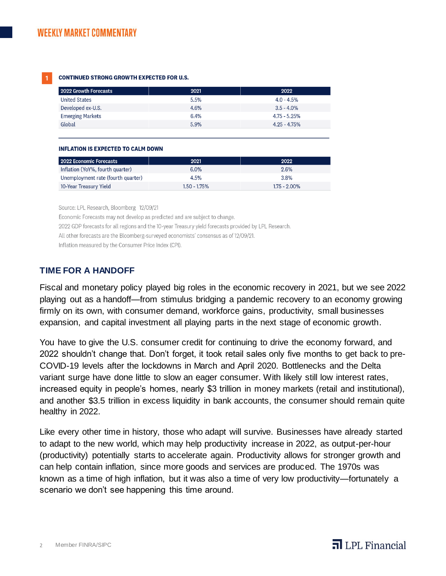#### **CONTINUED STRONG GROWTH EXPECTED FOR U.S.**

| 2022 Growth Forecasts   | 2021 | 2022            |
|-------------------------|------|-----------------|
| <b>United States</b>    | 5.5% | $4.0 - 4.5\%$   |
| Developed ex-U.S.       | 4.6% | $3.5 - 4.0\%$   |
| <b>Emerging Markets</b> | 6.4% | $4.75 - 5.25%$  |
| Global                  | 5.9% | $4.25 - 4.75\%$ |

#### **INFLATION IS EXPECTED TO CALM DOWN**

| 2022 Economic Forecasts            | 2021           | 2022            |
|------------------------------------|----------------|-----------------|
| Inflation (YoY%, fourth quarter)   | $6.0\%$        | $2.6\%$         |
| Unemployment rate (fourth quarter) | 4.5%           | 3.8%            |
| 10-Year Treasury Yield             | $1.50 - 1.75%$ | $1.75 - 2.00\%$ |

Source: LPL Research, Bloomberg 12/09/21

Economic Forecasts may not develop as predicted and are subject to change.

2022 GDP forecasts for all regions and the 10-year Treasury yield forecasts provided by LPL Research.

All other forecasts are the Bloomberg-surveyed economists' consensus as of 12/09/21.

Inflation measured by the Consumer Price Index (CPI).

### **TIME FOR A HANDOFF**

Fiscal and monetary policy played big roles in the economic recovery in 2021, but we see 2022 playing out as a handoff—from stimulus bridging a pandemic recovery to an economy growing firmly on its own, with consumer demand, workforce gains, productivity, small businesses expansion, and capital investment all playing parts in the next stage of economic growth.

You have to give the U.S. consumer credit for continuing to drive the economy forward, and 2022 shouldn't change that. Don't forget, it took retail sales only five months to get back to pre-COVID-19 levels after the lockdowns in March and April 2020. Bottlenecks and the Delta variant surge have done little to slow an eager consumer. With likely still low interest rates, increased equity in people's homes, nearly \$3 trillion in money markets (retail and institutional), and another \$3.5 trillion in excess liquidity in bank accounts, the consumer should remain quite healthy in 2022.

Like every other time in history, those who adapt will survive. Businesses have already started to adapt to the new world, which may help productivity increase in 2022, as output-per-hour (productivity) potentially starts to accelerate again. Productivity allows for stronger growth and can help contain inflation, since more goods and services are produced. The 1970s was known as a time of high inflation, but it was also a time of very low productivity—fortunately a scenario we don't see happening this time around.

 $\overline{\mathbf{d}}$  LPL Financial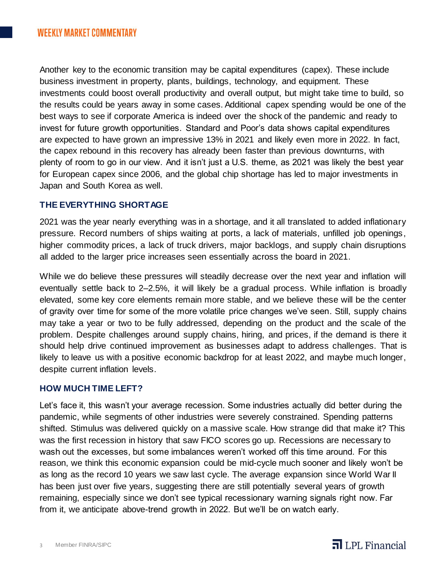Another key to the economic transition may be capital expenditures (capex). These include business investment in property, plants, buildings, technology, and equipment. These investments could boost overall productivity and overall output, but might take time to build, so the results could be years away in some cases. Additional capex spending would be one of the best ways to see if corporate America is indeed over the shock of the pandemic and ready to invest for future growth opportunities. Standard and Poor's data shows capital expenditures are expected to have grown an impressive 13% in 2021 and likely even more in 2022. In fact, the capex rebound in this recovery has already been faster than previous downturns, with plenty of room to go in our view. And it isn't just a U.S. theme, as 2021 was likely the best year for European capex since 2006, and the global chip shortage has led to major investments in Japan and South Korea as well.

# **THE EVERYTHING SHORTAGE**

2021 was the year nearly everything was in a shortage, and it all translated to added inflationary pressure. Record numbers of ships waiting at ports, a lack of materials, unfilled job openings, higher commodity prices, a lack of truck drivers, major backlogs, and supply chain disruptions all added to the larger price increases seen essentially across the board in 2021.

While we do believe these pressures will steadily decrease over the next year and inflation will eventually settle back to 2–2.5%, it will likely be a gradual process. While inflation is broadly elevated, some key core elements remain more stable, and we believe these will be the center of gravity over time for some of the more volatile price changes we've seen. Still, supply chains may take a year or two to be fully addressed, depending on the product and the scale of the problem. Despite challenges around supply chains, hiring, and prices, if the demand is there it should help drive continued improvement as businesses adapt to address challenges. That is likely to leave us with a positive economic backdrop for at least 2022, and maybe much longer, despite current inflation levels.

### **HOW MUCH TIME LEFT?**

Let's face it, this wasn't your average recession. Some industries actually did better during the pandemic, while segments of other industries were severely constrained. Spending patterns shifted. Stimulus was delivered quickly on a massive scale. How strange did that make it? This was the first recession in history that saw FICO scores go up. Recessions are necessary to wash out the excesses, but some imbalances weren't worked off this time around. For this reason, we think this economic expansion could be mid-cycle much sooner and likely won't be as long as the record 10 years we saw last cycle. The average expansion since World War II has been just over five years, suggesting there are still potentially several years of growth remaining, especially since we don't see typical recessionary warning signals right now. Far from it, we anticipate above-trend growth in 2022. But we'll be on watch early.

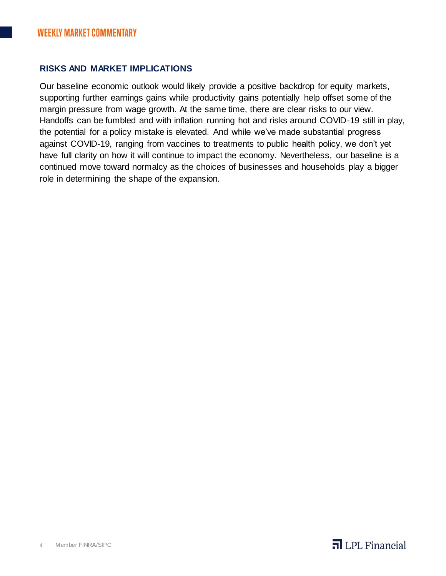# **RISKS AND MARKET IMPLICATIONS**

Our baseline economic outlook would likely provide a positive backdrop for equity markets, supporting further earnings gains while productivity gains potentially help offset some of the margin pressure from wage growth. At the same time, there are clear risks to our view. Handoffs can be fumbled and with inflation running hot and risks around COVID-19 still in play, the potential for a policy mistake is elevated. And while we've made substantial progress against COVID-19, ranging from vaccines to treatments to public health policy, we don't yet have full clarity on how it will continue to impact the economy. Nevertheless, our baseline is a continued move toward normalcy as the choices of businesses and households play a bigger role in determining the shape of the expansion.